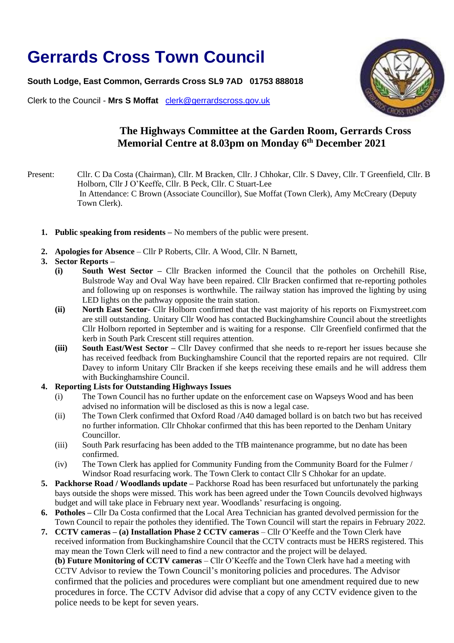## **Gerrards Cross Town Council**

**South Lodge, East Common, Gerrards Cross SL9 7AD 01753 888018**

Clerk to the Council - **Mrs S Moffat** [clerk@gerrardscross.gov.uk](mailto:clerk@gerrardscross.gov.uk)



## **The Highways Committee at the Garden Room, Gerrards Cross Memorial Centre at 8.03pm on Monday 6 th December 2021**

Present: Cllr. C Da Costa (Chairman), Cllr. M Bracken, Cllr. J Chhokar, Cllr. S Davey, Cllr. T Greenfield, Cllr. B Holborn, Cllr J O'Keeffe, Cllr. B Peck, Cllr. C Stuart-Lee In Attendance: C Brown (Associate Councillor), Sue Moffat (Town Clerk), Amy McCreary (Deputy Town Clerk).

- **1. Public speaking from residents –** No members of the public were present.
- **2. Apologies for Absence** Cllr P Roberts, Cllr. A Wood, Cllr. N Barnett,
- **3. Sector Reports –**
	- **(i) South West Sector –** Cllr Bracken informed the Council that the potholes on Orchehill Rise, Bulstrode Way and Oval Way have been repaired. Cllr Bracken confirmed that re-reporting potholes and following up on responses is worthwhile. The railway station has improved the lighting by using LED lights on the pathway opposite the train station.
	- **(ii) North East Sector-** Cllr Holborn confirmed that the vast majority of his reports on Fixmystreet.com are still outstanding. Unitary Cllr Wood has contacted Buckinghamshire Council about the streetlights Cllr Holborn reported in September and is waiting for a response. Cllr Greenfield confirmed that the kerb in South Park Crescent still requires attention.
	- **(iii) South East/West Sector –** Cllr Davey confirmed that she needs to re-report her issues because she has received feedback from Buckinghamshire Council that the reported repairs are not required. Cllr Davey to inform Unitary Cllr Bracken if she keeps receiving these emails and he will address them with Buckinghamshire Council.

## **4. Reporting Lists for Outstanding Highways Issues**

- (i) The Town Council has no further update on the enforcement case on Wapseys Wood and has been advised no information will be disclosed as this is now a legal case.
- (ii) The Town Clerk confirmed that Oxford Road /A40 damaged bollard is on batch two but has received no further information. Cllr Chhokar confirmed that this has been reported to the Denham Unitary Councillor.
- (iii) South Park resurfacing has been added to the TfB maintenance programme, but no date has been confirmed.
- (iv) The Town Clerk has applied for Community Funding from the Community Board for the Fulmer / Windsor Road resurfacing work. The Town Clerk to contact Cllr S Chhokar for an update.
- **5. Packhorse Road / Woodlands update –** Packhorse Road has been resurfaced but unfortunately the parking bays outside the shops were missed. This work has been agreed under the Town Councils devolved highways budget and will take place in February next year. Woodlands' resurfacing is ongoing.
- **6. Potholes –** Cllr Da Costa confirmed that the Local Area Technician has granted devolved permission for the Town Council to repair the potholes they identified. The Town Council will start the repairs in February 2022.
- **7. CCTV cameras – (a) Installation Phase 2 CCTV cameras** Cllr O'Keeffe and the Town Clerk have received information from Buckinghamshire Council that the CCTV contracts must be HERS registered. This may mean the Town Clerk will need to find a new contractor and the project will be delayed. **(b) Future Monitoring of CCTV cameras** – Cllr O'Keeffe and the Town Clerk have had a meeting with CCTV Advisor to review the Town Council's monitoring policies and procedures. The Advisor

confirmed that the policies and procedures were compliant but one amendment required due to new procedures in force. The CCTV Advisor did advise that a copy of any CCTV evidence given to the police needs to be kept for seven years.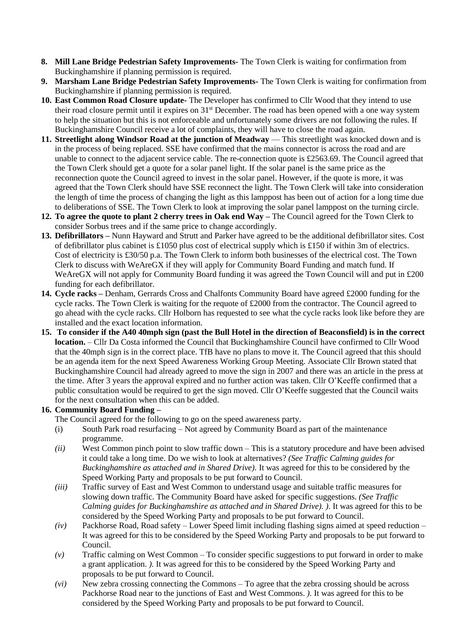- **8. Mill Lane Bridge Pedestrian Safety Improvements-** The Town Clerk is waiting for confirmation from Buckinghamshire if planning permission is required.
- **9. Marsham Lane Bridge Pedestrian Safety Improvements-** The Town Clerk is waiting for confirmation from Buckinghamshire if planning permission is required.
- **10. East Common Road Closure update-** The Developer has confirmed to Cllr Wood that they intend to use their road closure permit until it expires on 31st December. The road has been opened with a one way system to help the situation but this is not enforceable and unfortunately some drivers are not following the rules. If Buckinghamshire Council receive a lot of complaints, they will have to close the road again.
- **11. Streetlight along Windsor Road at the junction of Meadway This streetlight was knocked down and is** in the process of being replaced. SSE have confirmed that the mains connector is across the road and are unable to connect to the adjacent service cable. The re-connection quote is £2563.69. The Council agreed that the Town Clerk should get a quote for a solar panel light. If the solar panel is the same price as the reconnection quote the Council agreed to invest in the solar panel. However, if the quote is more, it was agreed that the Town Clerk should have SSE reconnect the light. The Town Clerk will take into consideration the length of time the process of changing the light as this lamppost has been out of action for a long time due to deliberations of SSE. The Town Clerk to look at improving the solar panel lamppost on the turning circle.
- **12. To agree the quote to plant 2 cherry trees in Oak end Way –** The Council agreed for the Town Clerk to consider Sorbus trees and if the same price to change accordingly.
- **13. Defibrillators –** Nunn Hayward and Strutt and Parker have agreed to be the additional defibrillator sites. Cost of defibrillator plus cabinet is £1050 plus cost of electrical supply which is £150 if within 3m of electrics. Cost of electricity is £30/50 p.a. The Town Clerk to inform both businesses of the electrical cost. The Town Clerk to discuss with WeAreGX if they will apply for Community Board Funding and match fund. If WeAreGX will not apply for Community Board funding it was agreed the Town Council will and put in £200 funding for each defibrillator.
- **14. Cycle racks –** Denham, Gerrards Cross and Chalfonts Community Board have agreed £2000 funding for the cycle racks. The Town Clerk is waiting for the requote of £2000 from the contractor. The Council agreed to go ahead with the cycle racks. Cllr Holborn has requested to see what the cycle racks look like before they are installed and the exact location information.
- **15. To consider if the A40 40mph sign (past the Bull Hotel in the direction of Beaconsfield) is in the correct location.** – Cllr Da Costa informed the Council that Buckinghamshire Council have confirmed to Cllr Wood that the 40mph sign is in the correct place. TfB have no plans to move it. The Council agreed that this should be an agenda item for the next Speed Awareness Working Group Meeting. Associate Cllr Brown stated that Buckinghamshire Council had already agreed to move the sign in 2007 and there was an article in the press at the time. After 3 years the approval expired and no further action was taken. Cllr O'Keeffe confirmed that a public consultation would be required to get the sign moved. Cllr O'Keeffe suggested that the Council waits for the next consultation when this can be added.

## **16. Community Board Funding –**

The Council agreed for the following to go on the speed awareness party.

- (i) South Park road resurfacing Not agreed by Community Board as part of the maintenance programme.
- *(ii)* West Common pinch point to slow traffic down This is a statutory procedure and have been advised it could take a long time. Do we wish to look at alternatives? *(See Traffic Calming guides for Buckinghamshire as attached and in Shared Drive).* It was agreed for this to be considered by the Speed Working Party and proposals to be put forward to Council.
- *(iii)* Traffic survey of East and West Common to understand usage and suitable traffic measures for slowing down traffic. The Community Board have asked for specific suggestions. *(See Traffic Calming guides for Buckinghamshire as attached and in Shared Drive). ).* It was agreed for this to be considered by the Speed Working Party and proposals to be put forward to Council.
- *(iv)* Packhorse Road, Road safety Lower Speed limit including flashing signs aimed at speed reduction It was agreed for this to be considered by the Speed Working Party and proposals to be put forward to Council.
- *(v)* Traffic calming on West Common To consider specific suggestions to put forward in order to make a grant application. *).* It was agreed for this to be considered by the Speed Working Party and proposals to be put forward to Council.
- *(vi)* New zebra crossing connecting the Commons To agree that the zebra crossing should be across Packhorse Road near to the junctions of East and West Commons. *).* It was agreed for this to be considered by the Speed Working Party and proposals to be put forward to Council.